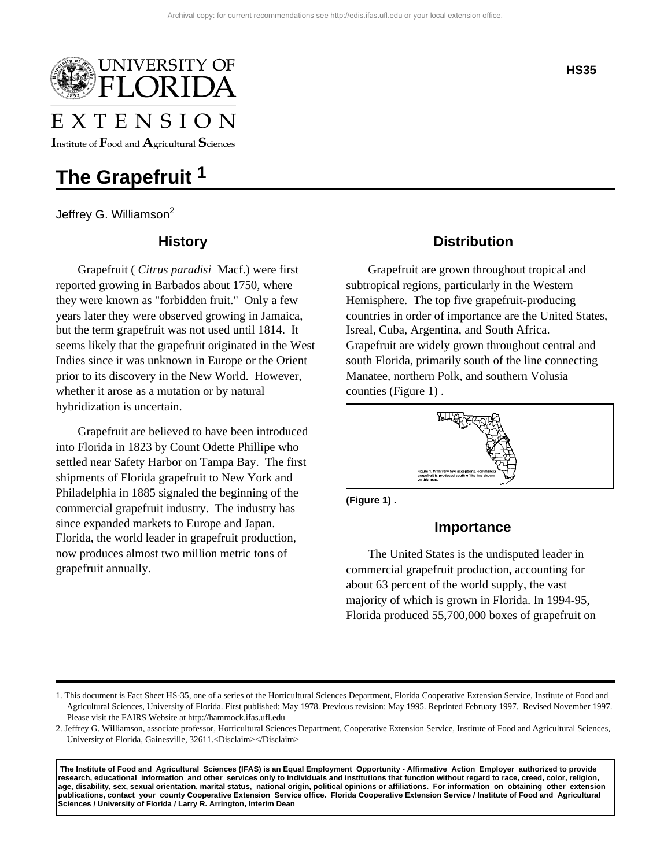

# EXTENSION

Institute of  $\rm F$ ood and  $\rm A$ gricultural  $\rm S$ ciences

## **The Grapefruit 1**

Jeffrey G. Williamson<sup>2</sup>

## **History**

Grapefruit ( *Citrus paradisi* Macf.) were first reported growing in Barbados about 1750, where they were known as "forbidden fruit." Only a few years later they were observed growing in Jamaica, but the term grapefruit was not used until 1814. It seems likely that the grapefruit originated in the West Indies since it was unknown in Europe or the Orient prior to its discovery in the New World. However, whether it arose as a mutation or by natural hybridization is uncertain.

Grapefruit are believed to have been introduced into Florida in 1823 by Count Odette Phillipe who settled near Safety Harbor on Tampa Bay. The first shipments of Florida grapefruit to New York and Philadelphia in 1885 signaled the beginning of the commercial grapefruit industry. The industry has since expanded markets to Europe and Japan. Florida, the world leader in grapefruit production, now produces almost two million metric tons of grapefruit annually.

## **Distribution**

Grapefruit are grown throughout tropical and subtropical regions, particularly in the Western Hemisphere. The top five grapefruit-producing countries in order of importance are the United States, Isreal, Cuba, Argentina, and South Africa. Grapefruit are widely grown throughout central and south Florida, primarily south of the line connecting Manatee, northern Polk, and southern Volusia counties (Figure 1) .



**(Figure 1) .** 

## **Importance**

The United States is the undisputed leader in commercial grapefruit production, accounting for about 63 percent of the world supply, the vast majority of which is grown in Florida. In 1994-95, Florida produced 55,700,000 boxes of grapefruit on

1. This document is Fact Sheet HS-35, one of a series of the Horticultural Sciences Department, Florida Cooperative Extension Service, Institute of Food and Agricultural Sciences, University of Florida. First published: May 1978. Previous revision: May 1995. Reprinted February 1997. Revised November 1997. Please visit the FAIRS Website at http://hammock.ifas.ufl.edu

2. Jeffrey G. Williamson, associate professor, Horticultural Sciences Department, Cooperative Extension Service, Institute of Food and Agricultural Sciences, University of Florida, Gainesville, 32611.<Disclaim></Disclaim>

 **The Institute of Food and Agricultural Sciences (IFAS) is an Equal Employment Opportunity - Affirmative Action Employer authorized to provide research, educational information and other services only to individuals and institutions that function without regard to race, creed, color, religion, age, disability, sex, sexual orientation, marital status, national origin, political opinions or affiliations. For information on obtaining other extension publications, contact your county Cooperative Extension Service office. Florida Cooperative Extension Service / Institute of Food and Agricultural Sciences / University of Florida / Larry R. Arrington, Interim Dean**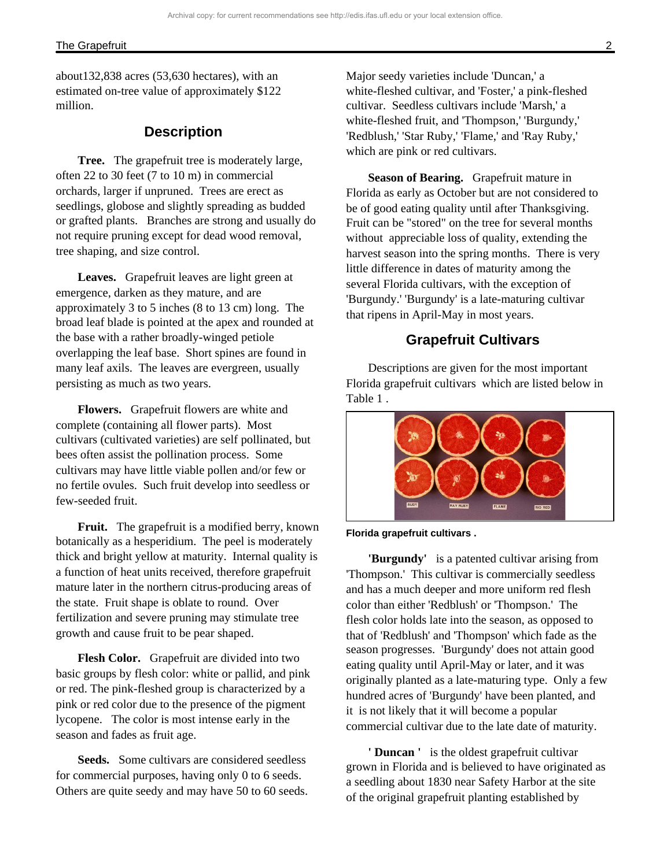about132,838 acres (53,630 hectares), with an estimated on-tree value of approximately \$122 million.

## **Description**

**Tree.** The grapefruit tree is moderately large, often 22 to 30 feet (7 to 10 m) in commercial orchards, larger if unpruned. Trees are erect as seedlings, globose and slightly spreading as budded or grafted plants. Branches are strong and usually do not require pruning except for dead wood removal, tree shaping, and size control.

**Leaves.** Grapefruit leaves are light green at emergence, darken as they mature, and are approximately 3 to 5 inches (8 to 13 cm) long. The broad leaf blade is pointed at the apex and rounded at the base with a rather broadly-winged petiole overlapping the leaf base. Short spines are found in many leaf axils. The leaves are evergreen, usually persisting as much as two years.

**Flowers.** Grapefruit flowers are white and complete (containing all flower parts). Most cultivars (cultivated varieties) are self pollinated, but bees often assist the pollination process. Some cultivars may have little viable pollen and/or few or no fertile ovules. Such fruit develop into seedless or few-seeded fruit.

**Fruit.** The grapefruit is a modified berry, known botanically as a hesperidium. The peel is moderately thick and bright yellow at maturity. Internal quality is a function of heat units received, therefore grapefruit mature later in the northern citrus-producing areas of the state. Fruit shape is oblate to round. Over fertilization and severe pruning may stimulate tree growth and cause fruit to be pear shaped.

**Flesh Color.** Grapefruit are divided into two basic groups by flesh color: white or pallid, and pink or red. The pink-fleshed group is characterized by a pink or red color due to the presence of the pigment lycopene. The color is most intense early in the season and fades as fruit age.

**Seeds.** Some cultivars are considered seedless for commercial purposes, having only 0 to 6 seeds. Others are quite seedy and may have 50 to 60 seeds. Major seedy varieties include 'Duncan,' a white-fleshed cultivar, and 'Foster,' a pink-fleshed cultivar. Seedless cultivars include 'Marsh,' a white-fleshed fruit, and 'Thompson,' 'Burgundy,' 'Redblush,' 'Star Ruby,' 'Flame,' and 'Ray Ruby,' which are pink or red cultivars.

**Season of Bearing.** Grapefruit mature in Florida as early as October but are not considered to be of good eating quality until after Thanksgiving. Fruit can be "stored" on the tree for several months without appreciable loss of quality, extending the harvest season into the spring months. There is very little difference in dates of maturity among the several Florida cultivars, with the exception of 'Burgundy.' 'Burgundy' is a late-maturing cultivar that ripens in April-May in most years.

## **Grapefruit Cultivars**

Descriptions are given for the most important Florida grapefruit cultivars which are listed below in Table 1 .



**Florida grapefruit cultivars .** 

**'Burgundy'** is a patented cultivar arising from 'Thompson.' This cultivar is commercially seedless and has a much deeper and more uniform red flesh color than either 'Redblush' or 'Thompson.' The flesh color holds late into the season, as opposed to that of 'Redblush' and 'Thompson' which fade as the season progresses. 'Burgundy' does not attain good eating quality until April-May or later, and it was originally planted as a late-maturing type. Only a few hundred acres of 'Burgundy' have been planted, and it is not likely that it will become a popular commercial cultivar due to the late date of maturity.

**' Duncan '** is the oldest grapefruit cultivar grown in Florida and is believed to have originated as a seedling about 1830 near Safety Harbor at the site of the original grapefruit planting established by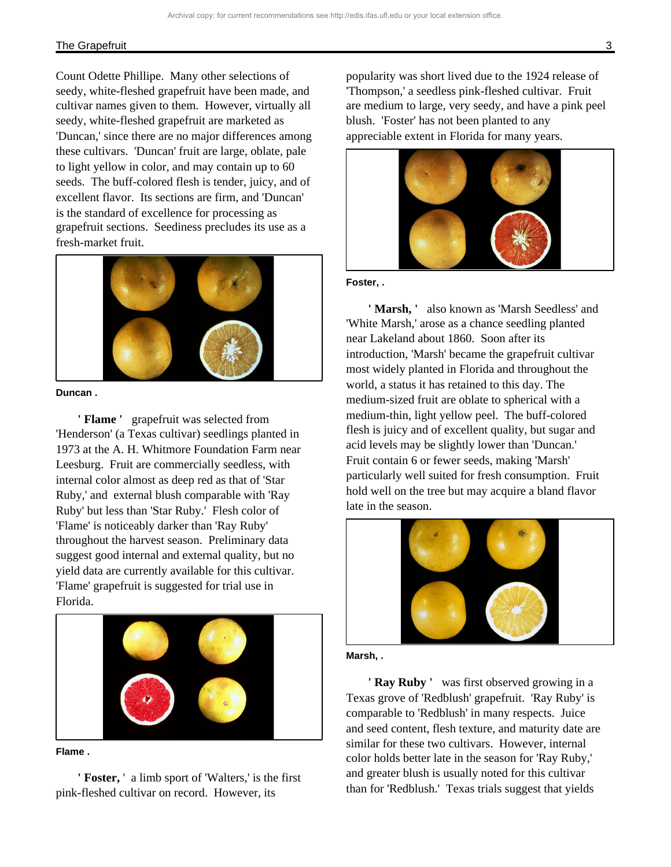#### The Grapefruit 3

Count Odette Phillipe. Many other selections of seedy, white-fleshed grapefruit have been made, and cultivar names given to them. However, virtually all seedy, white-fleshed grapefruit are marketed as 'Duncan,' since there are no major differences among these cultivars. 'Duncan' fruit are large, oblate, pale to light yellow in color, and may contain up to 60 seeds. The buff-colored flesh is tender, juicy, and of excellent flavor. Its sections are firm, and 'Duncan' is the standard of excellence for processing as grapefruit sections. Seediness precludes its use as a fresh-market fruit.



#### **Duncan .**

**' Flame '** grapefruit was selected from 'Henderson' (a Texas cultivar) seedlings planted in 1973 at the A. H. Whitmore Foundation Farm near Leesburg. Fruit are commercially seedless, with internal color almost as deep red as that of 'Star Ruby,' and external blush comparable with 'Ray Ruby' but less than 'Star Ruby.' Flesh color of 'Flame' is noticeably darker than 'Ray Ruby' throughout the harvest season. Preliminary data suggest good internal and external quality, but no yield data are currently available for this cultivar. 'Flame' grapefruit is suggested for trial use in Florida.



#### **Flame .**

**' Foster,** ' a limb sport of 'Walters,' is the first pink-fleshed cultivar on record. However, its

popularity was short lived due to the 1924 release of 'Thompson,' a seedless pink-fleshed cultivar. Fruit are medium to large, very seedy, and have a pink peel blush. 'Foster' has not been planted to any appreciable extent in Florida for many years.



#### **Foster, .**

**' Marsh, '** also known as 'Marsh Seedless' and 'White Marsh,' arose as a chance seedling planted near Lakeland about 1860. Soon after its introduction, 'Marsh' became the grapefruit cultivar most widely planted in Florida and throughout the world, a status it has retained to this day. The medium-sized fruit are oblate to spherical with a medium-thin, light yellow peel. The buff-colored flesh is juicy and of excellent quality, but sugar and acid levels may be slightly lower than 'Duncan.' Fruit contain 6 or fewer seeds, making 'Marsh' particularly well suited for fresh consumption. Fruit hold well on the tree but may acquire a bland flavor late in the season.





**' Ray Ruby '** was first observed growing in a Texas grove of 'Redblush' grapefruit. 'Ray Ruby' is comparable to 'Redblush' in many respects. Juice and seed content, flesh texture, and maturity date are similar for these two cultivars. However, internal color holds better late in the season for 'Ray Ruby,' and greater blush is usually noted for this cultivar than for 'Redblush.' Texas trials suggest that yields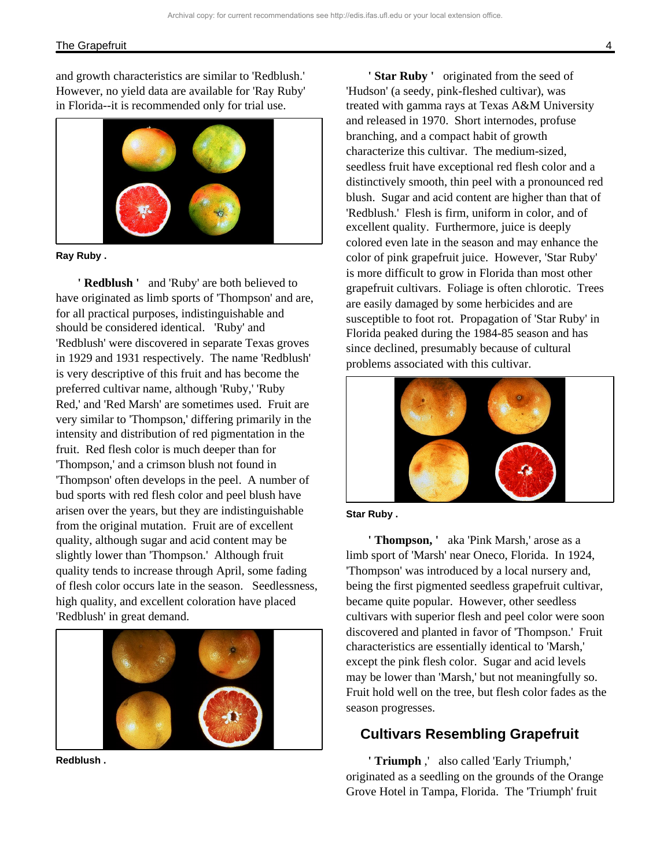#### The Grapefruit 4 and 2008 and 2008 and 2008 and 2008 and 2008 and 2008 and 2008 and 2008 and 2008 and 2008 and 2008 and 2008 and 2008 and 2008 and 2008 and 2008 and 2008 and 2008 and 2008 and 2008 and 2008 and 2008 and 200

and growth characteristics are similar to 'Redblush.' However, no yield data are available for 'Ray Ruby' in Florida--it is recommended only for trial use.



**Ray Ruby .** 

**' Redblush '** and 'Ruby' are both believed to have originated as limb sports of 'Thompson' and are, for all practical purposes, indistinguishable and should be considered identical. 'Ruby' and 'Redblush' were discovered in separate Texas groves in 1929 and 1931 respectively. The name 'Redblush' is very descriptive of this fruit and has become the preferred cultivar name, although 'Ruby,' 'Ruby Red,' and 'Red Marsh' are sometimes used. Fruit are very similar to 'Thompson,' differing primarily in the intensity and distribution of red pigmentation in the fruit. Red flesh color is much deeper than for 'Thompson,' and a crimson blush not found in 'Thompson' often develops in the peel. A number of bud sports with red flesh color and peel blush have arisen over the years, but they are indistinguishable from the original mutation. Fruit are of excellent quality, although sugar and acid content may be slightly lower than 'Thompson.' Although fruit quality tends to increase through April, some fading of flesh color occurs late in the season. Seedlessness, high quality, and excellent coloration have placed 'Redblush' in great demand.



**Redblush .** 

**'Star Ruby'** originated from the seed of 'Hudson' (a seedy, pink-fleshed cultivar), was treated with gamma rays at Texas A&M University and released in 1970. Short internodes, profuse branching, and a compact habit of growth characterize this cultivar. The medium-sized, seedless fruit have exceptional red flesh color and a distinctively smooth, thin peel with a pronounced red blush. Sugar and acid content are higher than that of 'Redblush.' Flesh is firm, uniform in color, and of excellent quality. Furthermore, juice is deeply colored even late in the season and may enhance the color of pink grapefruit juice. However, 'Star Ruby' is more difficult to grow in Florida than most other grapefruit cultivars. Foliage is often chlorotic. Trees are easily damaged by some herbicides and are susceptible to foot rot. Propagation of 'Star Ruby' in Florida peaked during the 1984-85 season and has since declined, presumably because of cultural problems associated with this cultivar.



**Star Ruby .** 

**' Thompson, '** aka 'Pink Marsh,' arose as a limb sport of 'Marsh' near Oneco, Florida. In 1924, 'Thompson' was introduced by a local nursery and, being the first pigmented seedless grapefruit cultivar, became quite popular. However, other seedless cultivars with superior flesh and peel color were soon discovered and planted in favor of 'Thompson.' Fruit characteristics are essentially identical to 'Marsh,' except the pink flesh color. Sugar and acid levels may be lower than 'Marsh,' but not meaningfully so. Fruit hold well on the tree, but flesh color fades as the season progresses.

## **Cultivars Resembling Grapefruit**

**' Triumph** ,' also called 'Early Triumph,' originated as a seedling on the grounds of the Orange Grove Hotel in Tampa, Florida. The 'Triumph' fruit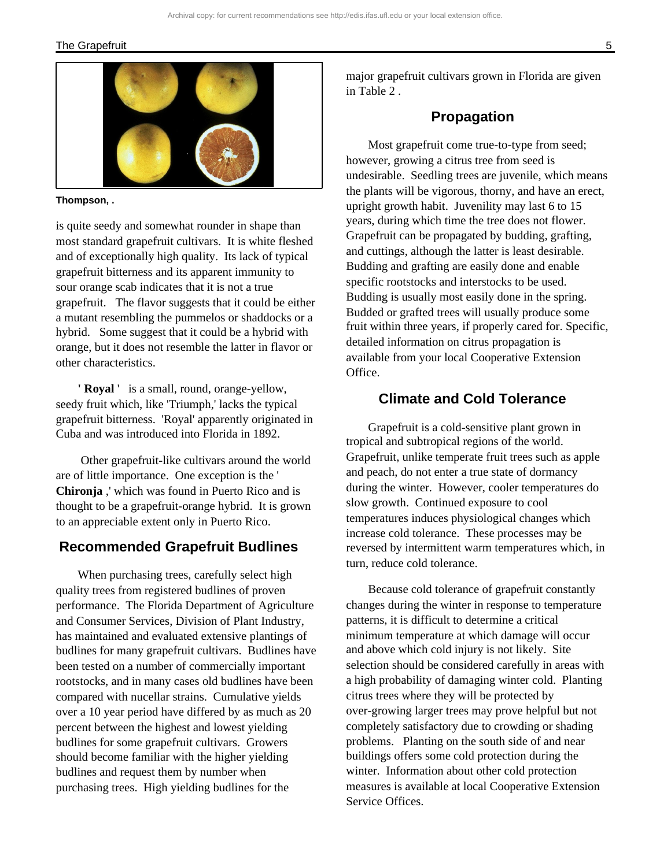#### The Grapefruit 5 and 5 and 5 and 5 and 5 and 5 and 5 and 5 and 5 and 5 and 5 and 5 and 5 and 5 and 5 and 5 and 5 and 5 and 5 and 5 and 5 and 5 and 5 and 5 and 5 and 5 and 5 and 5 and 5 and 5 and 5 and 5 and 5 and 5 and 5 a



**Thompson, .** 

is quite seedy and somewhat rounder in shape than most standard grapefruit cultivars. It is white fleshed and of exceptionally high quality. Its lack of typical grapefruit bitterness and its apparent immunity to sour orange scab indicates that it is not a true grapefruit. The flavor suggests that it could be either a mutant resembling the pummelos or shaddocks or a hybrid. Some suggest that it could be a hybrid with orange, but it does not resemble the latter in flavor or other characteristics.

**' Royal** ' is a small, round, orange-yellow, seedy fruit which, like 'Triumph,' lacks the typical grapefruit bitterness. 'Royal' apparently originated in Cuba and was introduced into Florida in 1892.

 Other grapefruit-like cultivars around the world are of little importance. One exception is the ' **Chironja** ,' which was found in Puerto Rico and is thought to be a grapefruit-orange hybrid. It is grown to an appreciable extent only in Puerto Rico.

## **Recommended Grapefruit Budlines**

When purchasing trees, carefully select high quality trees from registered budlines of proven performance. The Florida Department of Agriculture and Consumer Services, Division of Plant Industry, has maintained and evaluated extensive plantings of budlines for many grapefruit cultivars. Budlines have been tested on a number of commercially important rootstocks, and in many cases old budlines have been compared with nucellar strains. Cumulative yields over a 10 year period have differed by as much as 20 percent between the highest and lowest yielding budlines for some grapefruit cultivars. Growers should become familiar with the higher yielding budlines and request them by number when purchasing trees. High yielding budlines for the

major grapefruit cultivars grown in Florida are given in Table 2 .

## **Propagation**

Most grapefruit come true-to-type from seed; however, growing a citrus tree from seed is undesirable. Seedling trees are juvenile, which means the plants will be vigorous, thorny, and have an erect, upright growth habit. Juvenility may last 6 to 15 years, during which time the tree does not flower. Grapefruit can be propagated by budding, grafting, and cuttings, although the latter is least desirable. Budding and grafting are easily done and enable specific rootstocks and interstocks to be used. Budding is usually most easily done in the spring. Budded or grafted trees will usually produce some fruit within three years, if properly cared for. Specific, detailed information on citrus propagation is available from your local Cooperative Extension Office.

## **Climate and Cold Tolerance**

Grapefruit is a cold-sensitive plant grown in tropical and subtropical regions of the world. Grapefruit, unlike temperate fruit trees such as apple and peach, do not enter a true state of dormancy during the winter. However, cooler temperatures do slow growth. Continued exposure to cool temperatures induces physiological changes which increase cold tolerance. These processes may be reversed by intermittent warm temperatures which, in turn, reduce cold tolerance.

Because cold tolerance of grapefruit constantly changes during the winter in response to temperature patterns, it is difficult to determine a critical minimum temperature at which damage will occur and above which cold injury is not likely. Site selection should be considered carefully in areas with a high probability of damaging winter cold. Planting citrus trees where they will be protected by over-growing larger trees may prove helpful but not completely satisfactory due to crowding or shading problems. Planting on the south side of and near buildings offers some cold protection during the winter. Information about other cold protection measures is available at local Cooperative Extension Service Offices.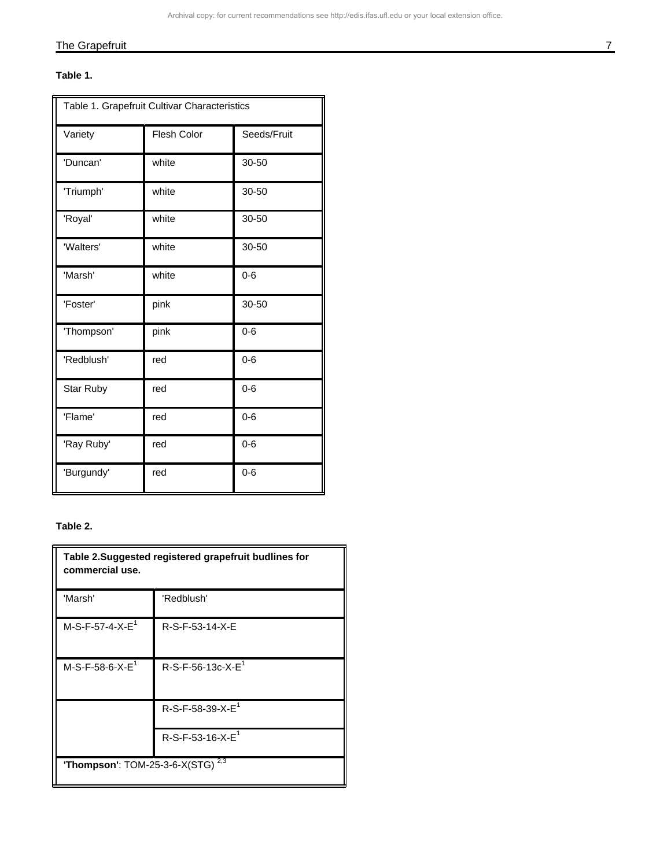## The Grapefruit 7 and 7 and 7 and 7 and 7 and 7 and 7 and 7 and 7 and 7 and 7 and 7 and 7 and 7 and 7 and 7 and 7 and 7 and 7 and 7 and 7 and 7 and 7 and 7 and 7 and 7 and 7 and 7 and 7 and 7 and 7 and 7 and 7 and 7 and 7 a

#### **Table 1.**

| Table 1. Grapefruit Cultivar Characteristics |             |             |
|----------------------------------------------|-------------|-------------|
| Variety                                      | Flesh Color | Seeds/Fruit |
| 'Duncan'                                     | white       | 30-50       |
| 'Triumph'                                    | white       | 30-50       |
| 'Royal'                                      | white       | 30-50       |
| 'Walters'                                    | white       | 30-50       |
| 'Marsh'                                      | white       | $0 - 6$     |
| 'Foster'                                     | pink        | 30-50       |
| 'Thompson'                                   | pink        | $0 - 6$     |
| 'Redblush'                                   | red         | $0 - 6$     |
| Star Ruby                                    | red         | $0 - 6$     |
| 'Flame'                                      | red         | $0 - 6$     |
| 'Ray Ruby'                                   | red         | $0 - 6$     |
| 'Burgundy'                                   | red         | $0 - 6$     |

## **Table 2.**

| Table 2. Suggested registered grapefruit budlines for<br>commercial use. |                               |  |
|--------------------------------------------------------------------------|-------------------------------|--|
| 'Marsh'                                                                  | 'Redblush'                    |  |
| $M-S-F-57-4-X-E1$                                                        | R-S-F-53-14-X-E               |  |
| $M-S-F-58-6-X-E1$                                                        | R-S-F-56-13c-X-E <sup>1</sup> |  |
|                                                                          | $R-S-F-58-39-X-E1$            |  |
|                                                                          | $R-S-F-53-16-X-E1$            |  |
| <b>'Thompson':</b> TOM-25-3-6-X(STG) <sup>2,3</sup>                      |                               |  |